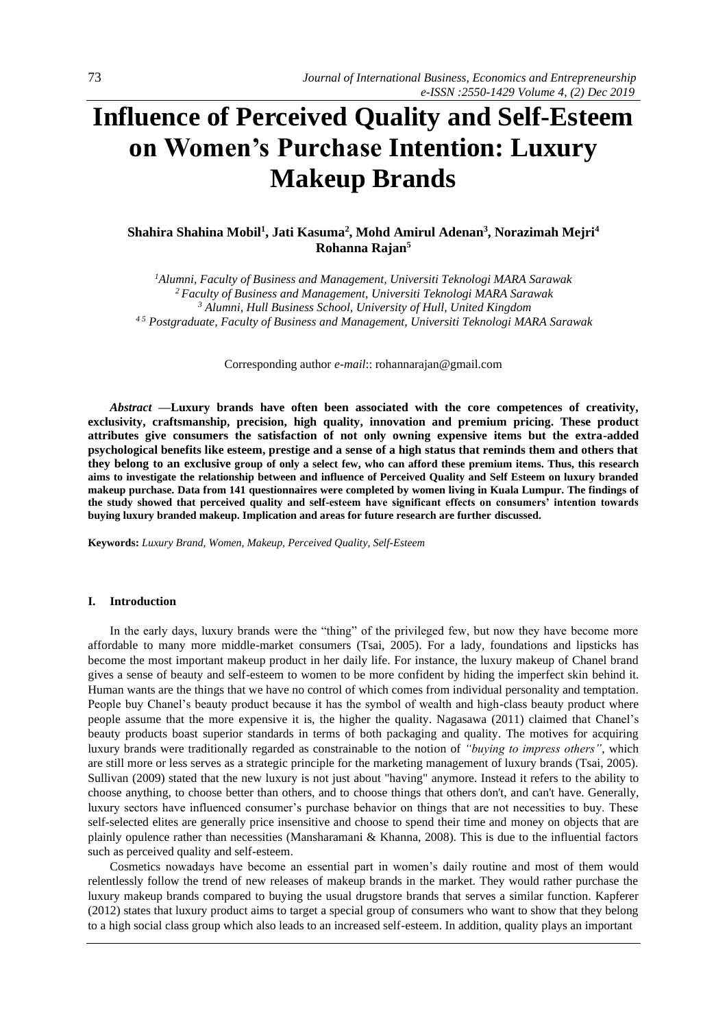# **Influence of Perceived Quality and Self-Esteem on Women's Purchase Intention: Luxury Makeup Brands**

# **Shahira Shahina Mobil<sup>1</sup> , Jati Kasuma<sup>2</sup> , Mohd Amirul Adenan<sup>3</sup> , Norazimah Mejri<sup>4</sup> Rohanna Rajan<sup>5</sup>**

*Alumni, Faculty of Business and Management, Universiti Teknologi MARA Sarawak Faculty of Business and Management, Universiti Teknologi MARA Sarawak Alumni, Hull Business School, University of Hull, United Kingdom 4 5 Postgraduate, Faculty of Business and Management, Universiti Teknologi MARA Sarawak*

Corresponding author *e-mail*:[: rohannarajan@gmail.com](mailto:rohannarajan@gmail.com)

*Abstract —***Luxury brands have often been associated with the core competences of creativity, exclusivity, craftsmanship, precision, high quality, innovation and premium pricing. These product attributes give consumers the satisfaction of not only owning expensive items but the extra-added psychological benefits like esteem, prestige and a sense of a high status that reminds them and others that they belong to an exclusive group of only a select few, who can afford these premium items. Thus, this research aims to investigate the relationship between and influence of Perceived Quality and Self Esteem on luxury branded makeup purchase. Data from 141 questionnaires were completed by women living in Kuala Lumpur. The findings of the study showed that perceived quality and self-esteem have significant effects on consumers' intention towards buying luxury branded makeup. Implication and areas for future research are further discussed.**

**Keywords:** *Luxury Brand, Women, Makeup, Perceived Quality, Self-Esteem*

#### **I. Introduction**

In the early days, luxury brands were the "thing" of the privileged few, but now they have become more affordable to many more middle-market consumers (Tsai, 2005). For a lady, foundations and lipsticks has become the most important makeup product in her daily life. For instance, the luxury makeup of Chanel brand gives a sense of beauty and self-esteem to women to be more confident by hiding the imperfect skin behind it. Human wants are the things that we have no control of which comes from individual personality and temptation. People buy Chanel's beauty product because it has the symbol of wealth and high-class beauty product where people assume that the more expensive it is, the higher the quality. Nagasawa (2011) claimed that Chanel's beauty products boast superior standards in terms of both packaging and quality. The motives for acquiring luxury brands were traditionally regarded as constrainable to the notion of *"buying to impress others"*, which are still more or less serves as a strategic principle for the marketing management of luxury brands (Tsai, 2005). Sullivan (2009) stated that the new luxury is not just about "having" anymore. Instead it refers to the ability to choose anything, to choose better than others, and to choose things that others don't, and can't have. Generally, luxury sectors have influenced consumer's purchase behavior on things that are not necessities to buy. These self-selected elites are generally price insensitive and choose to spend their time and money on objects that are plainly opulence rather than necessities (Mansharamani & Khanna, 2008). This is due to the influential factors such as perceived quality and self-esteem.

Cosmetics nowadays have become an essential part in women's daily routine and most of them would relentlessly follow the trend of new releases of makeup brands in the market. They would rather purchase the luxury makeup brands compared to buying the usual drugstore brands that serves a similar function. Kapferer (2012) states that luxury product aims to target a special group of consumers who want to show that they belong to a high social class group which also leads to an increased self-esteem. In addition, quality plays an important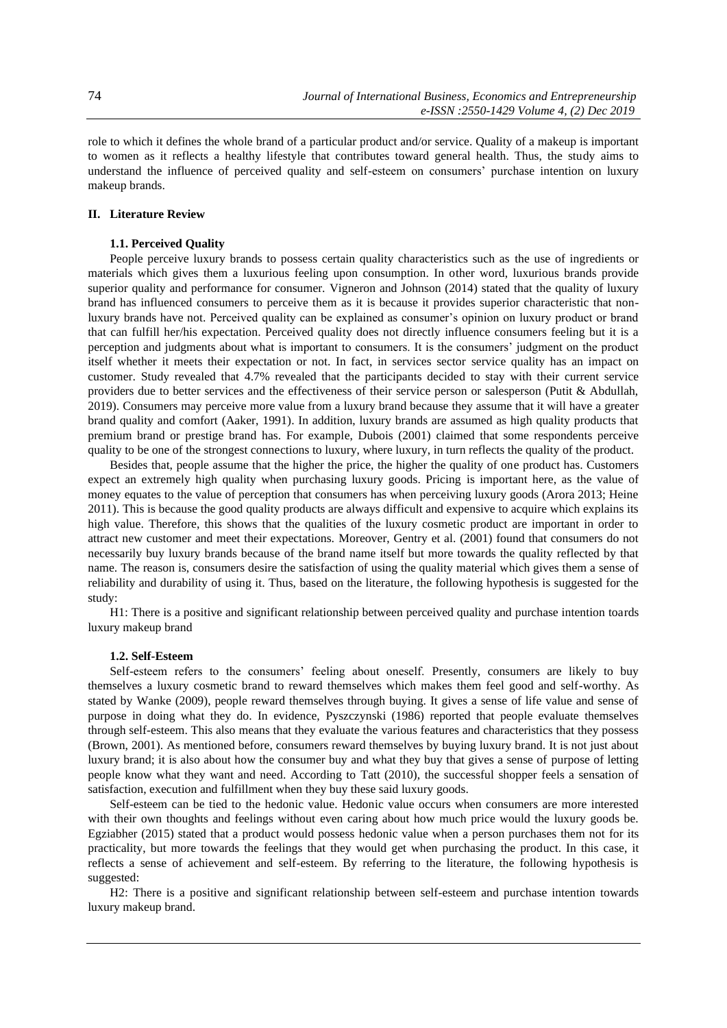role to which it defines the whole brand of a particular product and/or service. Quality of a makeup is important to women as it reflects a healthy lifestyle that contributes toward general health. Thus, the study aims to understand the influence of perceived quality and self-esteem on consumers' purchase intention on luxury makeup brands.

## **II. Literature Review**

## **1.1. Perceived Quality**

People perceive luxury brands to possess certain quality characteristics such as the use of ingredients or materials which gives them a luxurious feeling upon consumption. In other word, luxurious brands provide superior quality and performance for consumer. Vigneron and Johnson (2014) stated that the quality of luxury brand has influenced consumers to perceive them as it is because it provides superior characteristic that nonluxury brands have not. Perceived quality can be explained as consumer's opinion on luxury product or brand that can fulfill her/his expectation. Perceived quality does not directly influence consumers feeling but it is a perception and judgments about what is important to consumers. It is the consumers' judgment on the product itself whether it meets their expectation or not. In fact, in services sector service quality has an impact on customer. Study revealed that 4.7% revealed that the participants decided to stay with their current service providers due to better services and the effectiveness of their service person or salesperson (Putit & Abdullah, 2019). Consumers may perceive more value from a luxury brand because they assume that it will have a greater brand quality and comfort (Aaker, 1991). In addition, luxury brands are assumed as high quality products that premium brand or prestige brand has. For example, Dubois (2001) claimed that some respondents perceive quality to be one of the strongest connections to luxury, where luxury, in turn reflects the quality of the product.

Besides that, people assume that the higher the price, the higher the quality of one product has. Customers expect an extremely high quality when purchasing luxury goods. Pricing is important here, as the value of money equates to the value of perception that consumers has when perceiving luxury goods (Arora 2013; Heine 2011). This is because the good quality products are always difficult and expensive to acquire which explains its high value. Therefore, this shows that the qualities of the luxury cosmetic product are important in order to attract new customer and meet their expectations. Moreover, Gentry et al. (2001) found that consumers do not necessarily buy luxury brands because of the brand name itself but more towards the quality reflected by that name. The reason is, consumers desire the satisfaction of using the quality material which gives them a sense of reliability and durability of using it. Thus, based on the literature, the following hypothesis is suggested for the study:

H1: There is a positive and significant relationship between perceived quality and purchase intention toards luxury makeup brand

#### **1.2. Self-Esteem**

Self-esteem refers to the consumers' feeling about oneself. Presently, consumers are likely to buy themselves a luxury cosmetic brand to reward themselves which makes them feel good and self-worthy. As stated by Wanke (2009), people reward themselves through buying. It gives a sense of life value and sense of purpose in doing what they do. In evidence, Pyszczynski (1986) reported that people evaluate themselves through self-esteem. This also means that they evaluate the various features and characteristics that they possess (Brown, 2001). As mentioned before, consumers reward themselves by buying luxury brand. It is not just about luxury brand; it is also about how the consumer buy and what they buy that gives a sense of purpose of letting people know what they want and need. According to Tatt (2010), the successful shopper feels a sensation of satisfaction, execution and fulfillment when they buy these said luxury goods.

Self-esteem can be tied to the hedonic value. Hedonic value occurs when consumers are more interested with their own thoughts and feelings without even caring about how much price would the luxury goods be. Egziabher (2015) stated that a product would possess hedonic value when a person purchases them not for its practicality, but more towards the feelings that they would get when purchasing the product. In this case, it reflects a sense of achievement and self-esteem. By referring to the literature, the following hypothesis is suggested:

H2: There is a positive and significant relationship between self-esteem and purchase intention towards luxury makeup brand.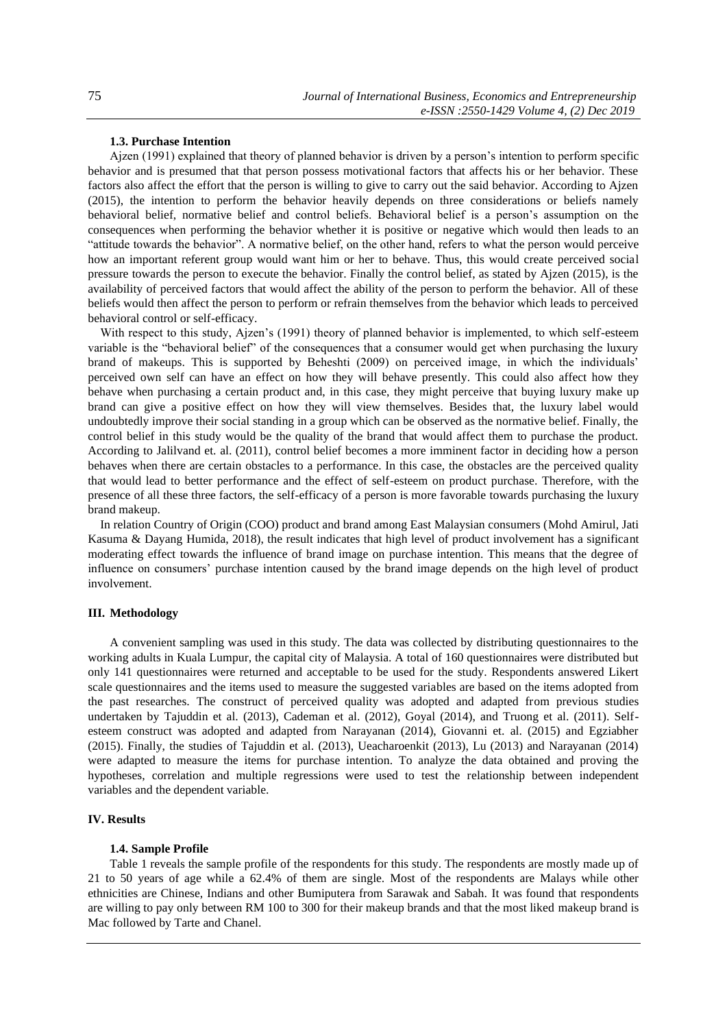## **1.3. Purchase Intention**

Ajzen (1991) explained that theory of planned behavior is driven by a person's intention to perform specific behavior and is presumed that that person possess motivational factors that affects his or her behavior. These factors also affect the effort that the person is willing to give to carry out the said behavior. According to Ajzen (2015), the intention to perform the behavior heavily depends on three considerations or beliefs namely behavioral belief, normative belief and control beliefs. Behavioral belief is a person's assumption on the consequences when performing the behavior whether it is positive or negative which would then leads to an "attitude towards the behavior". A normative belief, on the other hand, refers to what the person would perceive how an important referent group would want him or her to behave. Thus, this would create perceived social pressure towards the person to execute the behavior. Finally the control belief, as stated by Ajzen (2015), is the availability of perceived factors that would affect the ability of the person to perform the behavior. All of these beliefs would then affect the person to perform or refrain themselves from the behavior which leads to perceived behavioral control or self-efficacy.

With respect to this study, Ajzen's (1991) theory of planned behavior is implemented, to which self-esteem variable is the "behavioral belief" of the consequences that a consumer would get when purchasing the luxury brand of makeups. This is supported by Beheshti (2009) on perceived image, in which the individuals' perceived own self can have an effect on how they will behave presently. This could also affect how they behave when purchasing a certain product and, in this case, they might perceive that buying luxury make up brand can give a positive effect on how they will view themselves. Besides that, the luxury label would undoubtedly improve their social standing in a group which can be observed as the normative belief. Finally, the control belief in this study would be the quality of the brand that would affect them to purchase the product. According to Jalilvand et. al. (2011), control belief becomes a more imminent factor in deciding how a person behaves when there are certain obstacles to a performance. In this case, the obstacles are the perceived quality that would lead to better performance and the effect of self-esteem on product purchase. Therefore, with the presence of all these three factors, the self-efficacy of a person is more favorable towards purchasing the luxury brand makeup.

In relation Country of Origin (COO) product and brand among East Malaysian consumers (Mohd Amirul, Jati Kasuma & Dayang Humida, 2018), the result indicates that high level of product involvement has a significant moderating effect towards the influence of brand image on purchase intention. This means that the degree of influence on consumers' purchase intention caused by the brand image depends on the high level of product involvement.

#### **III. Methodology**

A convenient sampling was used in this study. The data was collected by distributing questionnaires to the working adults in Kuala Lumpur, the capital city of Malaysia. A total of 160 questionnaires were distributed but only 141 questionnaires were returned and acceptable to be used for the study. Respondents answered Likert scale questionnaires and the items used to measure the suggested variables are based on the items adopted from the past researches. The construct of perceived quality was adopted and adapted from previous studies undertaken by Tajuddin et al. (2013), Cademan et al. (2012), Goyal (2014), and Truong et al. (2011). Selfesteem construct was adopted and adapted from Narayanan (2014), Giovanni et. al. (2015) and Egziabher (2015). Finally, the studies of Tajuddin et al. (2013), Ueacharoenkit (2013), Lu (2013) and Narayanan (2014) were adapted to measure the items for purchase intention. To analyze the data obtained and proving the hypotheses, correlation and multiple regressions were used to test the relationship between independent variables and the dependent variable.

## **IV. Results**

#### **1.4. Sample Profile**

Table 1 reveals the sample profile of the respondents for this study. The respondents are mostly made up of 21 to 50 years of age while a 62.4% of them are single. Most of the respondents are Malays while other ethnicities are Chinese, Indians and other Bumiputera from Sarawak and Sabah. It was found that respondents are willing to pay only between RM 100 to 300 for their makeup brands and that the most liked makeup brand is Mac followed by Tarte and Chanel.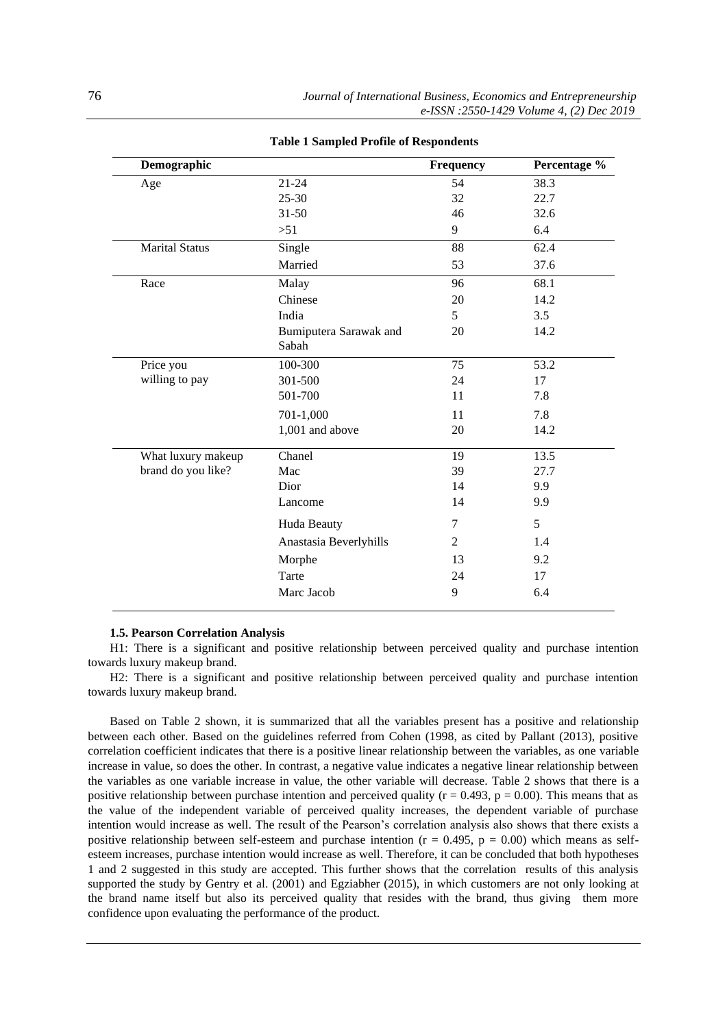| Demographic           |                                 | Frequency | Percentage % |
|-----------------------|---------------------------------|-----------|--------------|
| Age                   | $21 - 24$                       | 54        | 38.3         |
|                       | $25 - 30$                       | 32        | 22.7         |
|                       | $31 - 50$                       | 46        | 32.6         |
|                       | >51                             | 9         | 6.4          |
| <b>Marital Status</b> | Single                          | 88        | 62.4         |
|                       | Married                         | 53        | 37.6         |
| Race                  | Malay                           | 96        | 68.1         |
|                       | Chinese                         | 20        | 14.2         |
|                       | India                           | 5         | 3.5          |
|                       | Bumiputera Sarawak and<br>Sabah | 20        | 14.2         |
| Price you             | 100-300                         | 75        | 53.2         |
| willing to pay        | 301-500                         | 24        | 17           |
|                       | 501-700                         | 11        | 7.8          |
|                       | 701-1,000                       | 11        | 7.8          |
|                       | 1,001 and above                 | 20        | 14.2         |
| What luxury makeup    | Chanel                          | 19        | 13.5         |
| brand do you like?    | Mac                             | 39        | 27.7         |
|                       | Dior                            | 14        | 9.9          |
|                       | Lancome                         | 14        | 9.9          |
|                       | Huda Beauty                     | 7         | 5            |
|                       | Anastasia Beverlyhills          | 2         | 1.4          |
|                       | Morphe                          | 13        | 9.2          |
|                       | Tarte                           | 24        | 17           |
|                       |                                 |           |              |

#### **Table 1 Sampled Profile of Respondents**

#### **1.5. Pearson Correlation Analysis**

H1: There is a significant and positive relationship between perceived quality and purchase intention towards luxury makeup brand.

H2: There is a significant and positive relationship between perceived quality and purchase intention towards luxury makeup brand.

Based on Table 2 shown, it is summarized that all the variables present has a positive and relationship between each other. Based on the guidelines referred from Cohen (1998, as cited by Pallant (2013), positive correlation coefficient indicates that there is a positive linear relationship between the variables, as one variable increase in value, so does the other. In contrast, a negative value indicates a negative linear relationship between the variables as one variable increase in value, the other variable will decrease. Table 2 shows that there is a positive relationship between purchase intention and perceived quality ( $r = 0.493$ ,  $p = 0.00$ ). This means that as the value of the independent variable of perceived quality increases, the dependent variable of purchase intention would increase as well. The result of the Pearson's correlation analysis also shows that there exists a positive relationship between self-esteem and purchase intention ( $r = 0.495$ ,  $p = 0.00$ ) which means as selfesteem increases, purchase intention would increase as well. Therefore, it can be concluded that both hypotheses 1 and 2 suggested in this study are accepted. This further shows that the correlation results of this analysis supported the study by Gentry et al. (2001) and Egziabher (2015), in which customers are not only looking at the brand name itself but also its perceived quality that resides with the brand, thus giving them more confidence upon evaluating the performance of the product.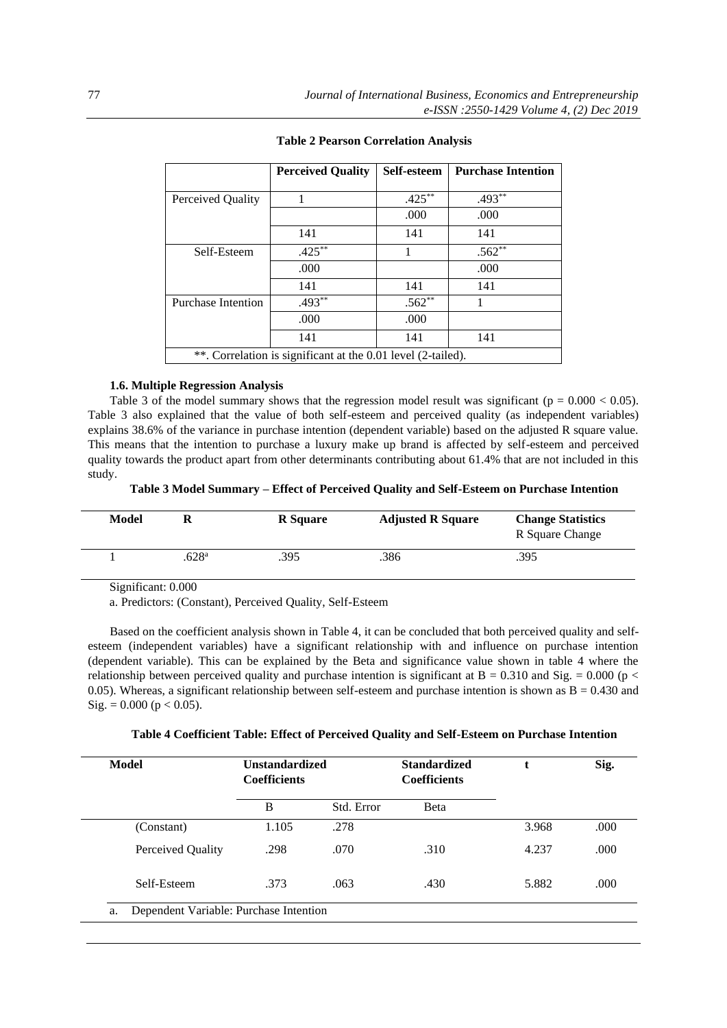|                           | <b>Perceived Quality</b>                                     | Self-esteem | <b>Purchase Intention</b> |
|---------------------------|--------------------------------------------------------------|-------------|---------------------------|
|                           |                                                              |             |                           |
| Perceived Quality         |                                                              | $.425***$   | $.493**$                  |
|                           |                                                              | .000        | .000                      |
|                           | 141                                                          | 141         | 141                       |
| Self-Esteem               | $.425***$                                                    |             | $.562**$                  |
|                           | .000                                                         |             | .000                      |
|                           | 141                                                          | 141         | 141                       |
| <b>Purchase Intention</b> | $.493***$                                                    | $.562**$    |                           |
|                           | .000                                                         | .000        |                           |
|                           | 141                                                          | 141         | 141                       |
|                           | **. Correlation is significant at the 0.01 level (2-tailed). |             |                           |

|  |  | <b>Table 2 Pearson Correlation Analysis</b> |  |
|--|--|---------------------------------------------|--|
|--|--|---------------------------------------------|--|

## **1.6. Multiple Regression Analysis**

Table 3 of the model summary shows that the regression model result was significant ( $p = 0.000 < 0.05$ ). Table 3 also explained that the value of both self-esteem and perceived quality (as independent variables) explains 38.6% of the variance in purchase intention (dependent variable) based on the adjusted R square value. This means that the intention to purchase a luxury make up brand is affected by self-esteem and perceived quality towards the product apart from other determinants contributing about 61.4% that are not included in this study.

**Table 3 Model Summary – Effect of Perceived Quality and Self-Esteem on Purchase Intention**

| Model | R                   | <b>R</b> Square | <b>Adjusted R Square</b> | <b>Change Statistics</b><br>R Square Change |
|-------|---------------------|-----------------|--------------------------|---------------------------------------------|
|       | $.628$ <sup>a</sup> | .395            | .386                     | .395                                        |

Significant: 0.000

a. Predictors: (Constant), Perceived Quality, Self-Esteem

Based on the coefficient analysis shown in Table 4, it can be concluded that both perceived quality and selfesteem (independent variables) have a significant relationship with and influence on purchase intention (dependent variable). This can be explained by the Beta and significance value shown in table 4 where the relationship between perceived quality and purchase intention is significant at  $B = 0.310$  and Sig. = 0.000 (p < 0.05). Whereas, a significant relationship between self-esteem and purchase intention is shown as  $B = 0.430$  and  $Sig. = 0.000$  (p < 0.05).

| Model             | <b>Unstandardized</b><br><b>Coefficients</b> |            | <b>Standardized</b><br><b>Coefficients</b><br>Beta |       | Sig. |
|-------------------|----------------------------------------------|------------|----------------------------------------------------|-------|------|
|                   | B                                            | Std. Error |                                                    |       |      |
| (Constant)        | 1.105                                        | .278       |                                                    | 3.968 | .000 |
| Perceived Quality | .298                                         | .070       | .310                                               | 4.237 | .000 |
| Self-Esteem       | .373                                         | .063       | .430                                               | 5.882 | .000 |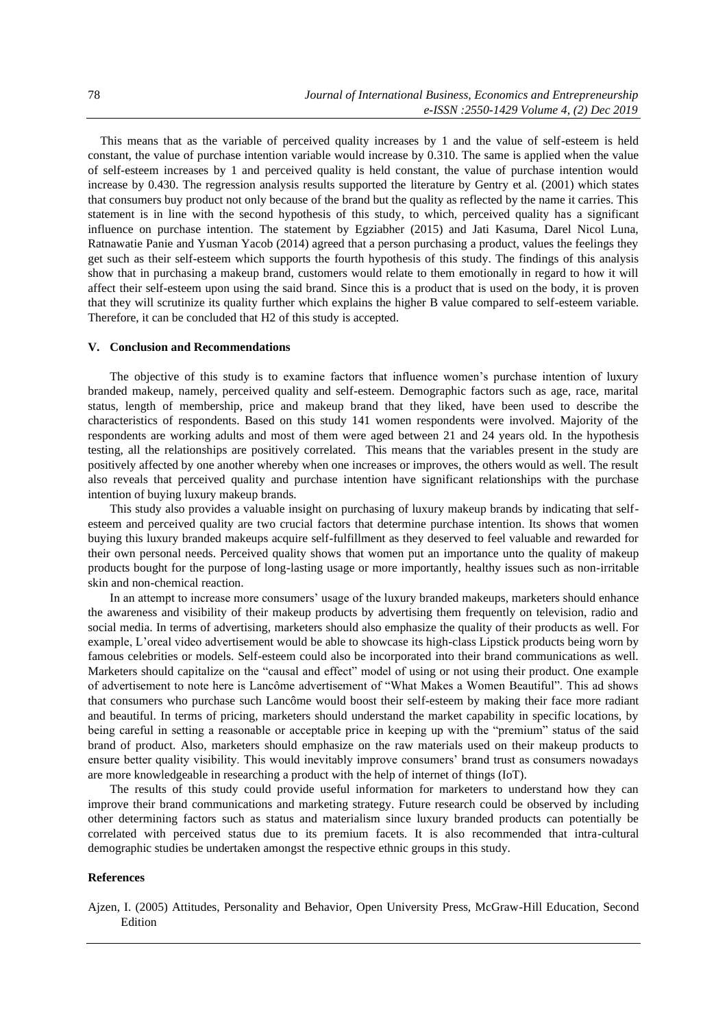This means that as the variable of perceived quality increases by 1 and the value of self-esteem is held constant, the value of purchase intention variable would increase by 0.310. The same is applied when the value of self-esteem increases by 1 and perceived quality is held constant, the value of purchase intention would increase by 0.430. The regression analysis results supported the literature by Gentry et al. (2001) which states that consumers buy product not only because of the brand but the quality as reflected by the name it carries. This statement is in line with the second hypothesis of this study, to which, perceived quality has a significant influence on purchase intention. The statement by Egziabher (2015) and Jati Kasuma, Darel Nicol Luna, Ratnawatie Panie and Yusman Yacob (2014) agreed that a person purchasing a product, values the feelings they get such as their self-esteem which supports the fourth hypothesis of this study. The findings of this analysis show that in purchasing a makeup brand, customers would relate to them emotionally in regard to how it will affect their self-esteem upon using the said brand. Since this is a product that is used on the body, it is proven that they will scrutinize its quality further which explains the higher B value compared to self-esteem variable. Therefore, it can be concluded that H2 of this study is accepted.

## **V. Conclusion and Recommendations**

The objective of this study is to examine factors that influence women's purchase intention of luxury branded makeup, namely, perceived quality and self-esteem. Demographic factors such as age, race, marital status, length of membership, price and makeup brand that they liked, have been used to describe the characteristics of respondents. Based on this study 141 women respondents were involved. Majority of the respondents are working adults and most of them were aged between 21 and 24 years old. In the hypothesis testing, all the relationships are positively correlated. This means that the variables present in the study are positively affected by one another whereby when one increases or improves, the others would as well. The result also reveals that perceived quality and purchase intention have significant relationships with the purchase intention of buying luxury makeup brands.

This study also provides a valuable insight on purchasing of luxury makeup brands by indicating that selfesteem and perceived quality are two crucial factors that determine purchase intention. Its shows that women buying this luxury branded makeups acquire self-fulfillment as they deserved to feel valuable and rewarded for their own personal needs. Perceived quality shows that women put an importance unto the quality of makeup products bought for the purpose of long-lasting usage or more importantly, healthy issues such as non-irritable skin and non-chemical reaction.

In an attempt to increase more consumers' usage of the luxury branded makeups, marketers should enhance the awareness and visibility of their makeup products by advertising them frequently on television, radio and social media. In terms of advertising, marketers should also emphasize the quality of their products as well. For example, L'oreal video advertisement would be able to showcase its high-class Lipstick products being worn by famous celebrities or models. Self-esteem could also be incorporated into their brand communications as well. Marketers should capitalize on the "causal and effect" model of using or not using their product. One example of advertisement to note here is Lancôme advertisement of "What Makes a Women Beautiful". This ad shows that consumers who purchase such Lancôme would boost their self-esteem by making their face more radiant and beautiful. In terms of pricing, marketers should understand the market capability in specific locations, by being careful in setting a reasonable or acceptable price in keeping up with the "premium" status of the said brand of product. Also, marketers should emphasize on the raw materials used on their makeup products to ensure better quality visibility. This would inevitably improve consumers' brand trust as consumers nowadays are more knowledgeable in researching a product with the help of internet of things (IoT).

The results of this study could provide useful information for marketers to understand how they can improve their brand communications and marketing strategy. Future research could be observed by including other determining factors such as status and materialism since luxury branded products can potentially be correlated with perceived status due to its premium facets. It is also recommended that intra-cultural demographic studies be undertaken amongst the respective ethnic groups in this study.

## **References**

Ajzen, I. (2005) Attitudes, Personality and Behavior, Open University Press, McGraw-Hill Education, Second Edition